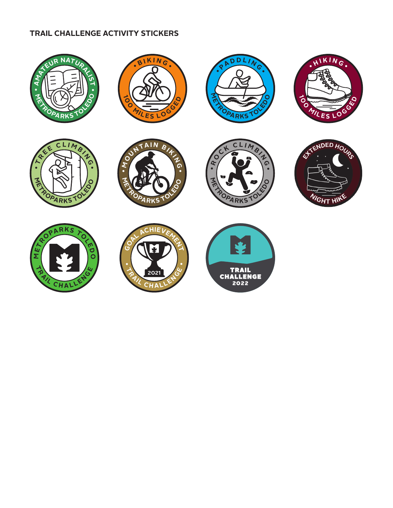## **TRAIL CHALLENGE ACTIVITY STICKERS**